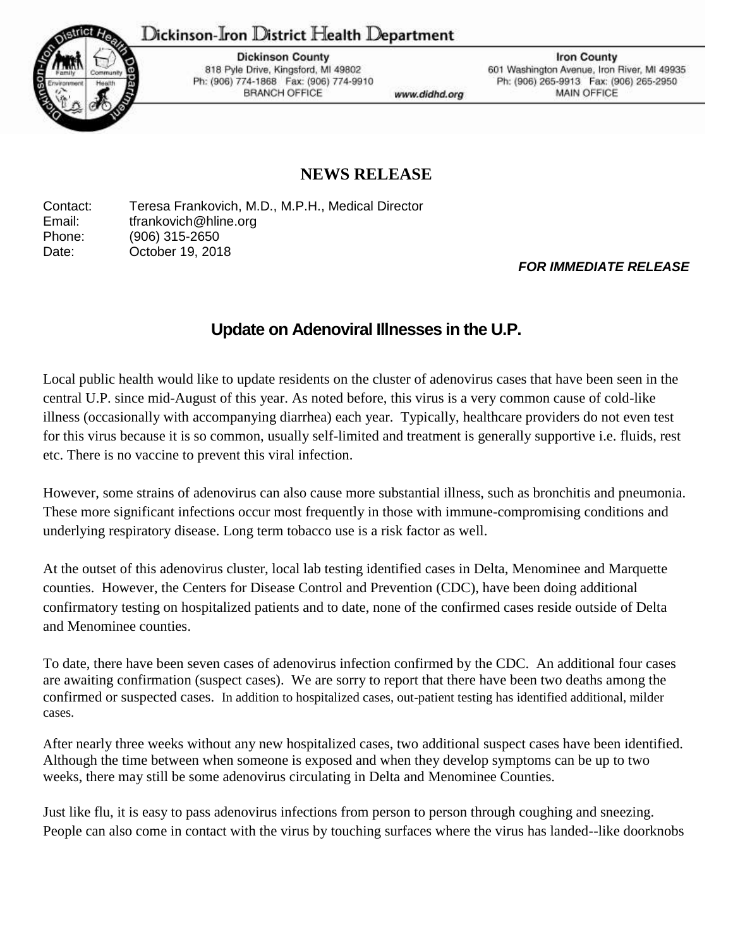## ${\rm D}$ ickinson-Iron  ${\rm D}$ istrict  ${\rm He}$ alth  ${\rm D}$ epartment



**Dickinson County** 818 Pyle Drive, Kingsford, MI 49802 Ph: (906) 774-1868 Fax: (906) 774-9910 **BRANCH OFFICE** 

www.didhd.org

**Iron County** 601 Washington Avenue, Iron River, MI 49935 Ph: (906) 265-9913 Fax: (906) 265-2950 MAIN OFFICE

## **NEWS RELEASE**

Contact: Teresa Frankovich, M.D., M.P.H., Medical Director Email: tfrankovich@hline.org Phone: (906) 315-2650 Date: **October 19, 2018** 

## *FOR IMMEDIATE RELEASE*

## **Update on Adenoviral Illnesses in the U.P.**

Local public health would like to update residents on the cluster of adenovirus cases that have been seen in the central U.P. since mid-August of this year. As noted before, this virus is a very common cause of cold-like illness (occasionally with accompanying diarrhea) each year. Typically, healthcare providers do not even test for this virus because it is so common, usually self-limited and treatment is generally supportive i.e. fluids, rest etc. There is no vaccine to prevent this viral infection.

However, some strains of adenovirus can also cause more substantial illness, such as bronchitis and pneumonia. These more significant infections occur most frequently in those with immune-compromising conditions and underlying respiratory disease. Long term tobacco use is a risk factor as well.

At the outset of this adenovirus cluster, local lab testing identified cases in Delta, Menominee and Marquette counties. However, the Centers for Disease Control and Prevention (CDC), have been doing additional confirmatory testing on hospitalized patients and to date, none of the confirmed cases reside outside of Delta and Menominee counties.

To date, there have been seven cases of adenovirus infection confirmed by the CDC. An additional four cases are awaiting confirmation (suspect cases). We are sorry to report that there have been two deaths among the confirmed or suspected cases. In addition to hospitalized cases, out-patient testing has identified additional, milder cases.

After nearly three weeks without any new hospitalized cases, two additional suspect cases have been identified. Although the time between when someone is exposed and when they develop symptoms can be up to two weeks, there may still be some adenovirus circulating in Delta and Menominee Counties.

Just like flu, it is easy to pass adenovirus infections from person to person through coughing and sneezing. People can also come in contact with the virus by touching surfaces where the virus has landed--like doorknobs